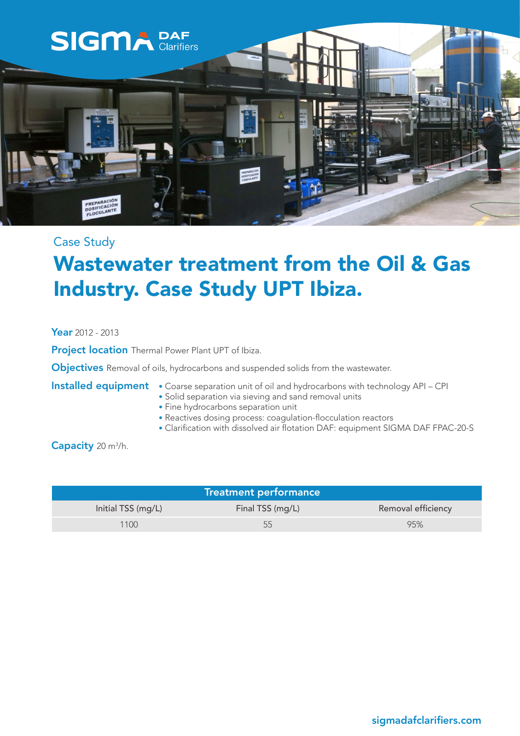

### Case Study

## Wastewater treatment from the Oil & Gas Industry. Case Study UPT Ibiza.

Year 2012 - 2013

**Project location** Thermal Power Plant UPT of Ibiza.

**Objectives** Removal of oils, hydrocarbons and suspended solids from the wastewater.

- Installed equipment Coarse separation unit of oil and hydrocarbons with technology API CPI
	- Solid separation via sieving and sand removal units
	- Fine hydrocarbons separation unit
	- Reactives dosing process: coagulation-flocculation reactors
	- Clarification with dissolved air flotation DAF: equipment SIGMA DAF FPAC-20-S

Capacity 20 m<sup>3</sup>/h.

| <b>Treatment performance</b> |                  |                    |
|------------------------------|------------------|--------------------|
| Initial TSS (mg/L)           | Final TSS (mg/L) | Removal efficiency |
| 1100                         | 55               | 95%                |